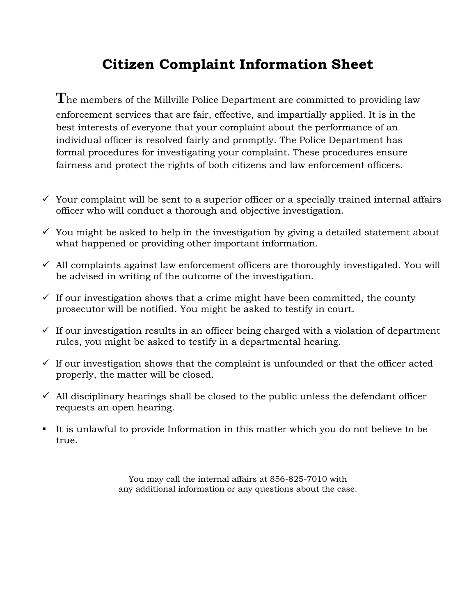## **Citizen Complaint Information Sheet**

**T**he members of the Millville Police Department are committed to providing law enforcement services that are fair, effective, and impartially applied. It is in the best interests of everyone that your complaint about the performance of an individual officer is resolved fairly and promptly. The Police Department has formal procedures for investigating your complaint. These procedures ensure fairness and protect the rights of both citizens and law enforcement officers.

- $\checkmark$  Your complaint will be sent to a superior officer or a specially trained internal affairs officer who will conduct a thorough and objective investigation.
- $\checkmark$  You might be asked to help in the investigation by giving a detailed statement about what happened or providing other important information.
- $\checkmark$  All complaints against law enforcement officers are thoroughly investigated. You will be advised in writing of the outcome of the investigation.
- $\checkmark$  If our investigation shows that a crime might have been committed, the county prosecutor will be notified. You might be asked to testify in court.
- $\checkmark$  If our investigation results in an officer being charged with a violation of department rules, you might be asked to testify in a departmental hearing.
- $\checkmark$  If our investigation shows that the complaint is unfounded or that the officer acted properly, the matter will be closed.
- $\checkmark$  All disciplinary hearings shall be closed to the public unless the defendant officer requests an open hearing.
- It is unlawful to provide Information in this matter which you do not believe to be true.

You may call the internal affairs at 856-825-7010 with any additional information or any questions about the case.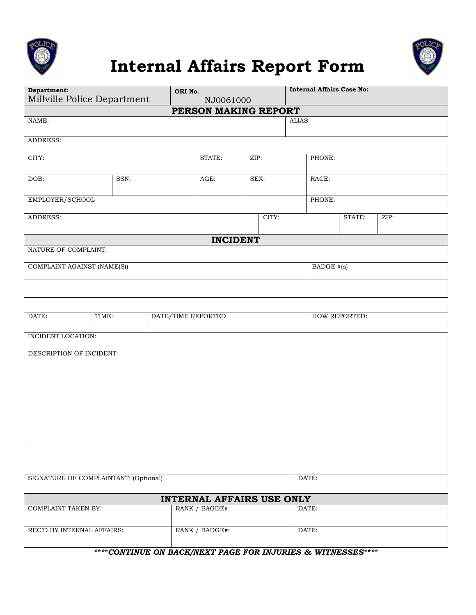





| Department:<br>Millville Police Department |                             |  | ORI No.<br>NJ0061000 |       |  | <b>Internal Affairs Case No:</b> |             |        |      |  |
|--------------------------------------------|-----------------------------|--|----------------------|-------|--|----------------------------------|-------------|--------|------|--|
| PERSON MAKING REPORT                       |                             |  |                      |       |  |                                  |             |        |      |  |
| NAME:                                      |                             |  |                      |       |  |                                  | $\rm ALIAS$ |        |      |  |
| ADDRESS:                                   |                             |  |                      |       |  |                                  |             |        |      |  |
| CITY:                                      |                             |  | STATE:               | ZIP:  |  | PHONE:                           |             |        |      |  |
| DOB:                                       | SSN:                        |  | AGE:                 | SEX:  |  |                                  | RACE:       |        |      |  |
| EMPLOYER/SCHOOL                            |                             |  |                      |       |  |                                  | PHONE:      |        |      |  |
| ADDRESS:                                   |                             |  |                      | CITY: |  |                                  |             | STATE: | ZIP: |  |
| <b>INCIDENT</b>                            |                             |  |                      |       |  |                                  |             |        |      |  |
| NATURE OF COMPLAINT:                       |                             |  |                      |       |  |                                  |             |        |      |  |
| COMPLAINT AGAINST (NAME(S))                |                             |  |                      |       |  |                                  | BADGE #(s)  |        |      |  |
|                                            |                             |  |                      |       |  |                                  |             |        |      |  |
|                                            |                             |  |                      |       |  |                                  |             |        |      |  |
| DATE:                                      | TIME:<br>DATE/TIME REPORTED |  |                      |       |  | HOW REPORTED:                    |             |        |      |  |
| INCIDENT LOCATION:                         |                             |  |                      |       |  |                                  |             |        |      |  |
| DESCRIPTION OF INCIDENT:                   |                             |  |                      |       |  |                                  |             |        |      |  |
|                                            |                             |  |                      |       |  |                                  |             |        |      |  |
|                                            |                             |  |                      |       |  |                                  |             |        |      |  |
|                                            |                             |  |                      |       |  |                                  |             |        |      |  |
|                                            |                             |  |                      |       |  |                                  |             |        |      |  |
|                                            |                             |  |                      |       |  |                                  |             |        |      |  |
|                                            |                             |  |                      |       |  |                                  |             |        |      |  |
| SIGNATURE OF COMPLAINTANT: (Optional)      |                             |  |                      |       |  | DATE:                            |             |        |      |  |
| <b>INTERNAL AFFAIRS USE ONLY</b>           |                             |  |                      |       |  |                                  |             |        |      |  |
| <b>COMPLAINT TAKEN BY:</b>                 |                             |  | RANK / BAGDE#:       |       |  |                                  | DATE:       |        |      |  |
| REC'D BY INTERNAL AFFAIRS:                 |                             |  | RANK / BADGE#:       |       |  |                                  | DATE:       |        |      |  |

*\*\*\*\*CONTINUE ON BACK/NEXT PAGE FOR INJURIES & WITNESSES\*\*\*\**